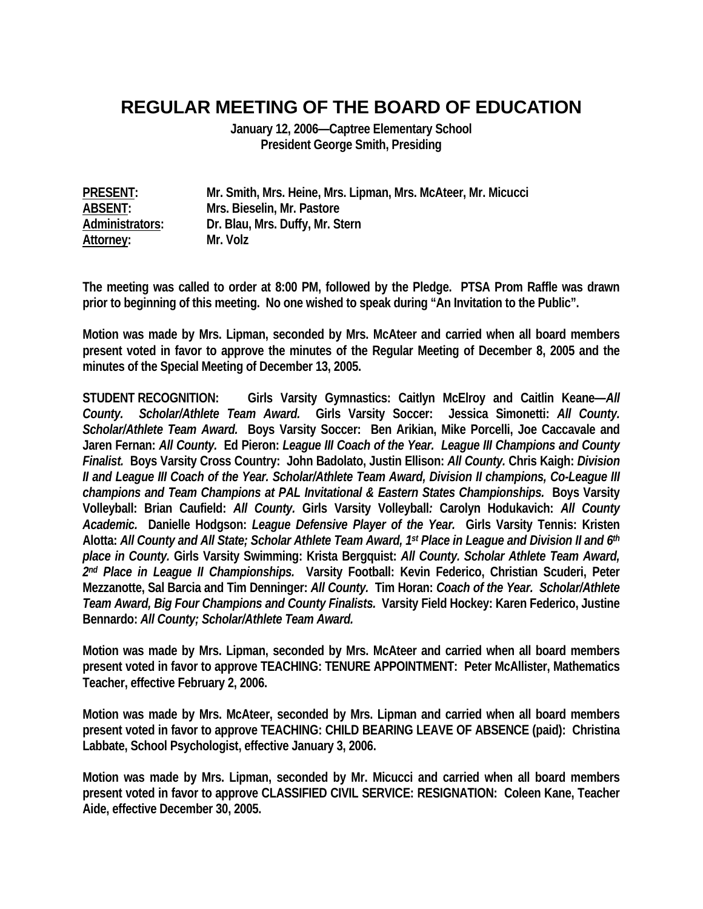## **REGULAR MEETING OF THE BOARD OF EDUCATION**

**January 12, 2006—Captree Elementary School President George Smith, Presiding** 

**PRESENT: Mr. Smith, Mrs. Heine, Mrs. Lipman, Mrs. McAteer, Mr. Micucci ABSENT: Mrs. Bieselin, Mr. Pastore Administrators: Dr. Blau, Mrs. Duffy, Mr. Stern Attorney: Mr. Volz** 

**The meeting was called to order at 8:00 PM, followed by the Pledge. PTSA Prom Raffle was drawn prior to beginning of this meeting. No one wished to speak during "An Invitation to the Public".** 

**Motion was made by Mrs. Lipman, seconded by Mrs. McAteer and carried when all board members present voted in favor to approve the minutes of the Regular Meeting of December 8, 2005 and the minutes of the Special Meeting of December 13, 2005.** 

**STUDENT RECOGNITION: Girls Varsity Gymnastics: Caitlyn McElroy and Caitlin Keane—***All County. Scholar/Athlete Team Award.* **Girls Varsity Soccer: Jessica Simonetti:** *All County. Scholar/Athlete Team Award.* **Boys Varsity Soccer: Ben Arikian, Mike Porcelli, Joe Caccavale and Jaren Fernan:** *All County.* **Ed Pieron:** *League III Coach of the Year. League III Champions and County Finalist.* **Boys Varsity Cross Country: John Badolato, Justin Ellison:** *All County.* **Chris Kaigh:** *Division II and League III Coach of the Year. Scholar/Athlete Team Award, Division II champions, Co-League III champions and Team Champions at PAL Invitational & Eastern States Championships.* **Boys Varsity Volleyball: Brian Caufield:** *All County.* **Girls Varsity Volleyball***:* **Carolyn Hodukavich:** *All County Academic.* **Danielle Hodgson:** *League Defensive Player of the Year.* **Girls Varsity Tennis: Kristen Alotta:** *All County and All State; Scholar Athlete Team Award, 1st Place in League and Division II and 6th place in County.* **Girls Varsity Swimming: Krista Bergquist:** *All County. Scholar Athlete Team Award, 2nd Place in League II Championships.* **Varsity Football: Kevin Federico, Christian Scuderi, Peter Mezzanotte, Sal Barcia and Tim Denninger:** *All County.* **Tim Horan:** *Coach of the Year. Scholar/Athlete Team Award, Big Four Champions and County Finalists.* **Varsity Field Hockey: Karen Federico, Justine Bennardo:** *All County; Scholar/Athlete Team Award.* 

**Motion was made by Mrs. Lipman, seconded by Mrs. McAteer and carried when all board members present voted in favor to approve TEACHING: TENURE APPOINTMENT: Peter McAllister, Mathematics Teacher, effective February 2, 2006.** 

**Motion was made by Mrs. McAteer, seconded by Mrs. Lipman and carried when all board members present voted in favor to approve TEACHING: CHILD BEARING LEAVE OF ABSENCE (paid): Christina Labbate, School Psychologist, effective January 3, 2006.** 

**Motion was made by Mrs. Lipman, seconded by Mr. Micucci and carried when all board members present voted in favor to approve CLASSIFIED CIVIL SERVICE: RESIGNATION: Coleen Kane, Teacher Aide, effective December 30, 2005.**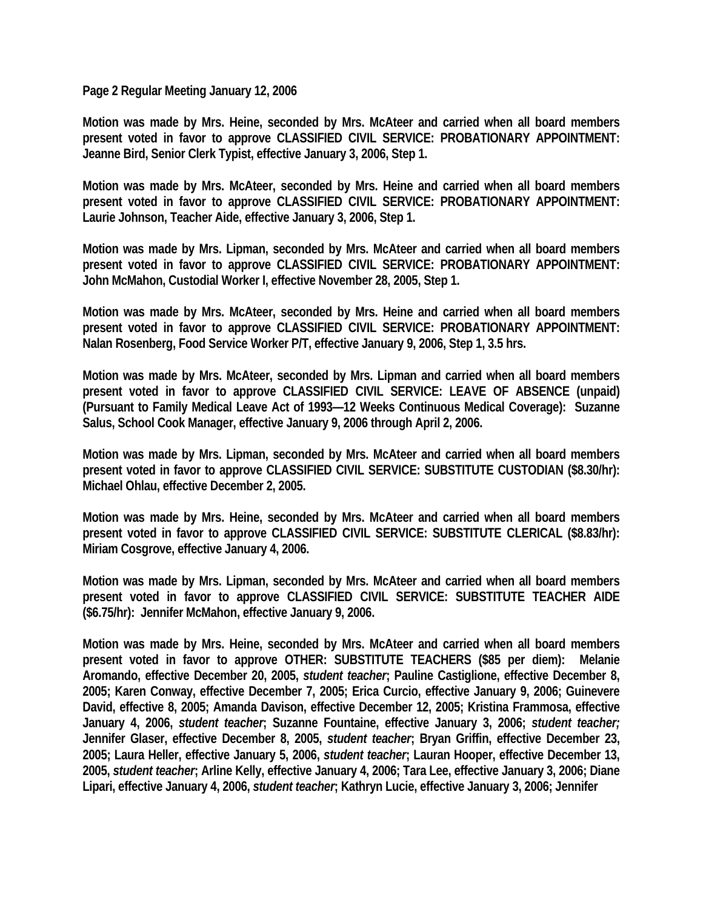**Page 2 Regular Meeting January 12, 2006** 

**Motion was made by Mrs. Heine, seconded by Mrs. McAteer and carried when all board members present voted in favor to approve CLASSIFIED CIVIL SERVICE: PROBATIONARY APPOINTMENT: Jeanne Bird, Senior Clerk Typist, effective January 3, 2006, Step 1.** 

**Motion was made by Mrs. McAteer, seconded by Mrs. Heine and carried when all board members present voted in favor to approve CLASSIFIED CIVIL SERVICE: PROBATIONARY APPOINTMENT: Laurie Johnson, Teacher Aide, effective January 3, 2006, Step 1.** 

**Motion was made by Mrs. Lipman, seconded by Mrs. McAteer and carried when all board members present voted in favor to approve CLASSIFIED CIVIL SERVICE: PROBATIONARY APPOINTMENT: John McMahon, Custodial Worker I, effective November 28, 2005, Step 1.** 

**Motion was made by Mrs. McAteer, seconded by Mrs. Heine and carried when all board members present voted in favor to approve CLASSIFIED CIVIL SERVICE: PROBATIONARY APPOINTMENT: Nalan Rosenberg, Food Service Worker P/T, effective January 9, 2006, Step 1, 3.5 hrs.** 

**Motion was made by Mrs. McAteer, seconded by Mrs. Lipman and carried when all board members present voted in favor to approve CLASSIFIED CIVIL SERVICE: LEAVE OF ABSENCE (unpaid) (Pursuant to Family Medical Leave Act of 1993—12 Weeks Continuous Medical Coverage): Suzanne Salus, School Cook Manager, effective January 9, 2006 through April 2, 2006.** 

**Motion was made by Mrs. Lipman, seconded by Mrs. McAteer and carried when all board members present voted in favor to approve CLASSIFIED CIVIL SERVICE: SUBSTITUTE CUSTODIAN (\$8.30/hr): Michael Ohlau, effective December 2, 2005.** 

**Motion was made by Mrs. Heine, seconded by Mrs. McAteer and carried when all board members present voted in favor to approve CLASSIFIED CIVIL SERVICE: SUBSTITUTE CLERICAL (\$8.83/hr): Miriam Cosgrove, effective January 4, 2006.** 

**Motion was made by Mrs. Lipman, seconded by Mrs. McAteer and carried when all board members present voted in favor to approve CLASSIFIED CIVIL SERVICE: SUBSTITUTE TEACHER AIDE (\$6.75/hr): Jennifer McMahon, effective January 9, 2006.** 

**Motion was made by Mrs. Heine, seconded by Mrs. McAteer and carried when all board members present voted in favor to approve OTHER: SUBSTITUTE TEACHERS (\$85 per diem): Melanie Aromando, effective December 20, 2005,** *student teacher***; Pauline Castiglione, effective December 8, 2005; Karen Conway, effective December 7, 2005; Erica Curcio, effective January 9, 2006; Guinevere David, effective 8, 2005; Amanda Davison, effective December 12, 2005; Kristina Frammosa, effective January 4, 2006,** *student teacher***; Suzanne Fountaine, effective January 3, 2006;** *student teacher;*  **Jennifer Glaser, effective December 8, 2005,** *student teacher***; Bryan Griffin, effective December 23, 2005; Laura Heller, effective January 5, 2006,** *student teacher***; Lauran Hooper, effective December 13, 2005,** *student teacher***; Arline Kelly, effective January 4, 2006; Tara Lee, effective January 3, 2006; Diane Lipari, effective January 4, 2006,** *student teacher***; Kathryn Lucie, effective January 3, 2006; Jennifer**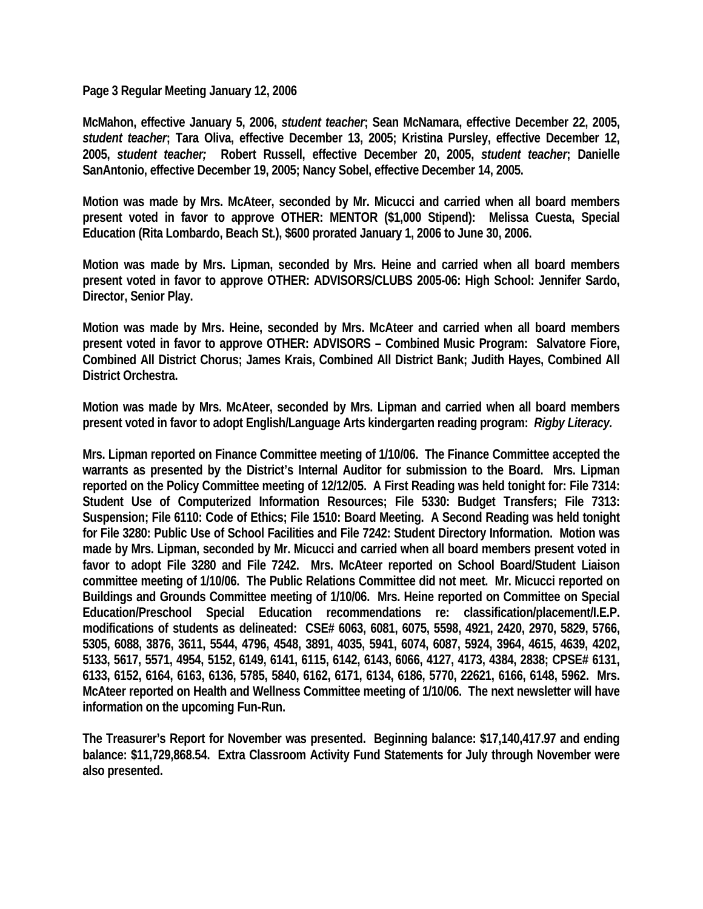**Page 3 Regular Meeting January 12, 2006** 

**McMahon, effective January 5, 2006,** *student teacher***; Sean McNamara, effective December 22, 2005,**  *student teacher***; Tara Oliva, effective December 13, 2005; Kristina Pursley, effective December 12, 2005,** *student teacher;* **Robert Russell, effective December 20, 2005,** *student teacher***; Danielle SanAntonio, effective December 19, 2005; Nancy Sobel, effective December 14, 2005.** 

**Motion was made by Mrs. McAteer, seconded by Mr. Micucci and carried when all board members present voted in favor to approve OTHER: MENTOR (\$1,000 Stipend): Melissa Cuesta, Special Education (Rita Lombardo, Beach St.), \$600 prorated January 1, 2006 to June 30, 2006.** 

**Motion was made by Mrs. Lipman, seconded by Mrs. Heine and carried when all board members present voted in favor to approve OTHER: ADVISORS/CLUBS 2005-06: High School: Jennifer Sardo, Director, Senior Play.** 

**Motion was made by Mrs. Heine, seconded by Mrs. McAteer and carried when all board members present voted in favor to approve OTHER: ADVISORS – Combined Music Program: Salvatore Fiore, Combined All District Chorus; James Krais, Combined All District Bank; Judith Hayes, Combined All District Orchestra.** 

**Motion was made by Mrs. McAteer, seconded by Mrs. Lipman and carried when all board members present voted in favor to adopt English/Language Arts kindergarten reading program:** *Rigby Literacy.*

**Mrs. Lipman reported on Finance Committee meeting of 1/10/06. The Finance Committee accepted the warrants as presented by the District's Internal Auditor for submission to the Board. Mrs. Lipman reported on the Policy Committee meeting of 12/12/05. A First Reading was held tonight for: File 7314: Student Use of Computerized Information Resources; File 5330: Budget Transfers; File 7313: Suspension; File 6110: Code of Ethics; File 1510: Board Meeting. A Second Reading was held tonight for File 3280: Public Use of School Facilities and File 7242: Student Directory Information. Motion was made by Mrs. Lipman, seconded by Mr. Micucci and carried when all board members present voted in favor to adopt File 3280 and File 7242. Mrs. McAteer reported on School Board/Student Liaison committee meeting of 1/10/06. The Public Relations Committee did not meet. Mr. Micucci reported on Buildings and Grounds Committee meeting of 1/10/06. Mrs. Heine reported on Committee on Special Education/Preschool Special Education recommendations re: classification/placement/I.E.P. modifications of students as delineated: CSE# 6063, 6081, 6075, 5598, 4921, 2420, 2970, 5829, 5766, 5305, 6088, 3876, 3611, 5544, 4796, 4548, 3891, 4035, 5941, 6074, 6087, 5924, 3964, 4615, 4639, 4202, 5133, 5617, 5571, 4954, 5152, 6149, 6141, 6115, 6142, 6143, 6066, 4127, 4173, 4384, 2838; CPSE# 6131, 6133, 6152, 6164, 6163, 6136, 5785, 5840, 6162, 6171, 6134, 6186, 5770, 22621, 6166, 6148, 5962. Mrs. McAteer reported on Health and Wellness Committee meeting of 1/10/06. The next newsletter will have information on the upcoming Fun-Run.** 

**The Treasurer's Report for November was presented. Beginning balance: \$17,140,417.97 and ending balance: \$11,729,868.54. Extra Classroom Activity Fund Statements for July through November were also presented.**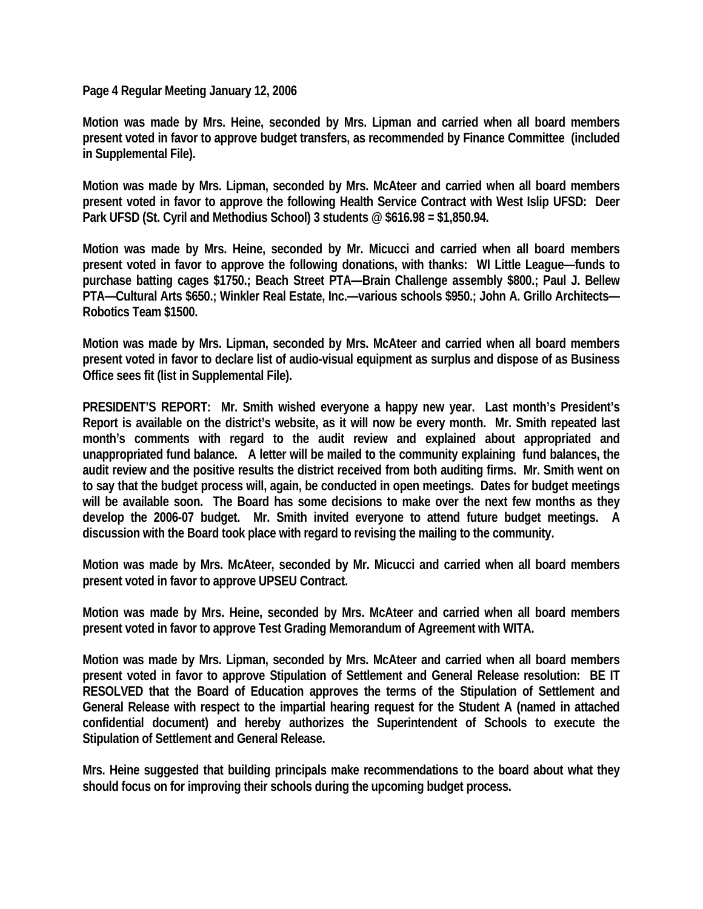**Page 4 Regular Meeting January 12, 2006** 

**Motion was made by Mrs. Heine, seconded by Mrs. Lipman and carried when all board members present voted in favor to approve budget transfers, as recommended by Finance Committee (included in Supplemental File).** 

**Motion was made by Mrs. Lipman, seconded by Mrs. McAteer and carried when all board members present voted in favor to approve the following Health Service Contract with West Islip UFSD: Deer Park UFSD (St. Cyril and Methodius School) 3 students @ \$616.98 = \$1,850.94.** 

**Motion was made by Mrs. Heine, seconded by Mr. Micucci and carried when all board members present voted in favor to approve the following donations, with thanks: WI Little League—funds to purchase batting cages \$1750.; Beach Street PTA—Brain Challenge assembly \$800.; Paul J. Bellew PTA—Cultural Arts \$650.; Winkler Real Estate, Inc.—various schools \$950.; John A. Grillo Architects— Robotics Team \$1500.** 

**Motion was made by Mrs. Lipman, seconded by Mrs. McAteer and carried when all board members present voted in favor to declare list of audio-visual equipment as surplus and dispose of as Business Office sees fit (list in Supplemental File).** 

**PRESIDENT'S REPORT: Mr. Smith wished everyone a happy new year. Last month's President's Report is available on the district's website, as it will now be every month. Mr. Smith repeated last month's comments with regard to the audit review and explained about appropriated and unappropriated fund balance. A letter will be mailed to the community explaining fund balances, the audit review and the positive results the district received from both auditing firms. Mr. Smith went on to say that the budget process will, again, be conducted in open meetings. Dates for budget meetings will be available soon. The Board has some decisions to make over the next few months as they develop the 2006-07 budget. Mr. Smith invited everyone to attend future budget meetings. A discussion with the Board took place with regard to revising the mailing to the community.** 

**Motion was made by Mrs. McAteer, seconded by Mr. Micucci and carried when all board members present voted in favor to approve UPSEU Contract.** 

**Motion was made by Mrs. Heine, seconded by Mrs. McAteer and carried when all board members present voted in favor to approve Test Grading Memorandum of Agreement with WITA.** 

**Motion was made by Mrs. Lipman, seconded by Mrs. McAteer and carried when all board members present voted in favor to approve Stipulation of Settlement and General Release resolution: BE IT RESOLVED that the Board of Education approves the terms of the Stipulation of Settlement and General Release with respect to the impartial hearing request for the Student A (named in attached confidential document) and hereby authorizes the Superintendent of Schools to execute the Stipulation of Settlement and General Release.** 

**Mrs. Heine suggested that building principals make recommendations to the board about what they should focus on for improving their schools during the upcoming budget process.**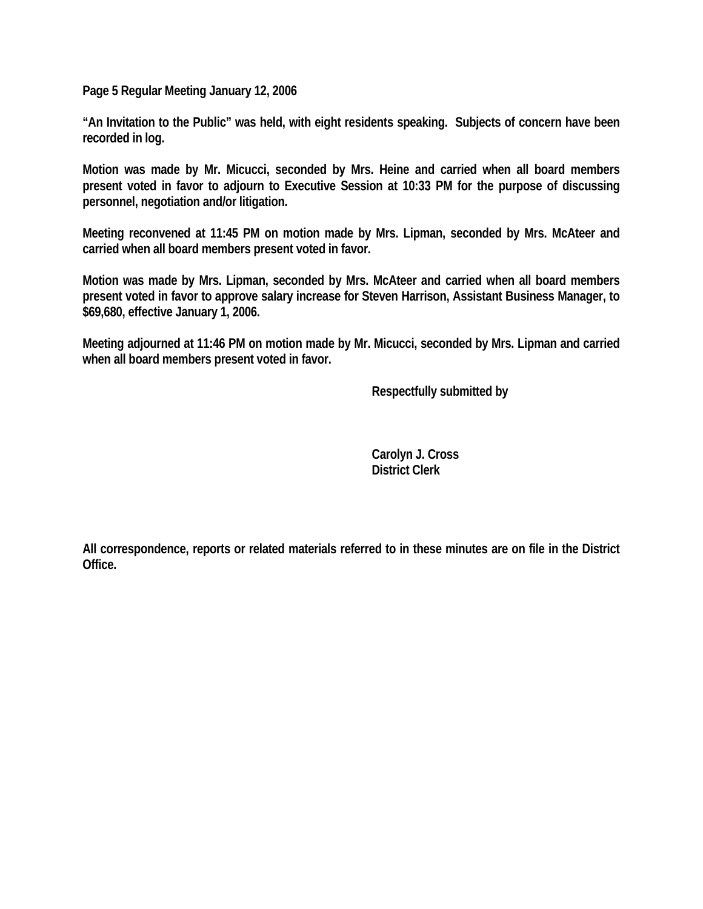**Page 5 Regular Meeting January 12, 2006** 

**"An Invitation to the Public" was held, with eight residents speaking. Subjects of concern have been recorded in log.** 

**Motion was made by Mr. Micucci, seconded by Mrs. Heine and carried when all board members present voted in favor to adjourn to Executive Session at 10:33 PM for the purpose of discussing personnel, negotiation and/or litigation.** 

**Meeting reconvened at 11:45 PM on motion made by Mrs. Lipman, seconded by Mrs. McAteer and carried when all board members present voted in favor.** 

**Motion was made by Mrs. Lipman, seconded by Mrs. McAteer and carried when all board members present voted in favor to approve salary increase for Steven Harrison, Assistant Business Manager, to \$69,680, effective January 1, 2006.** 

**Meeting adjourned at 11:46 PM on motion made by Mr. Micucci, seconded by Mrs. Lipman and carried when all board members present voted in favor.** 

 **Respectfully submitted by** 

 **Carolyn J. Cross District Clerk** 

**All correspondence, reports or related materials referred to in these minutes are on file in the District Office.**